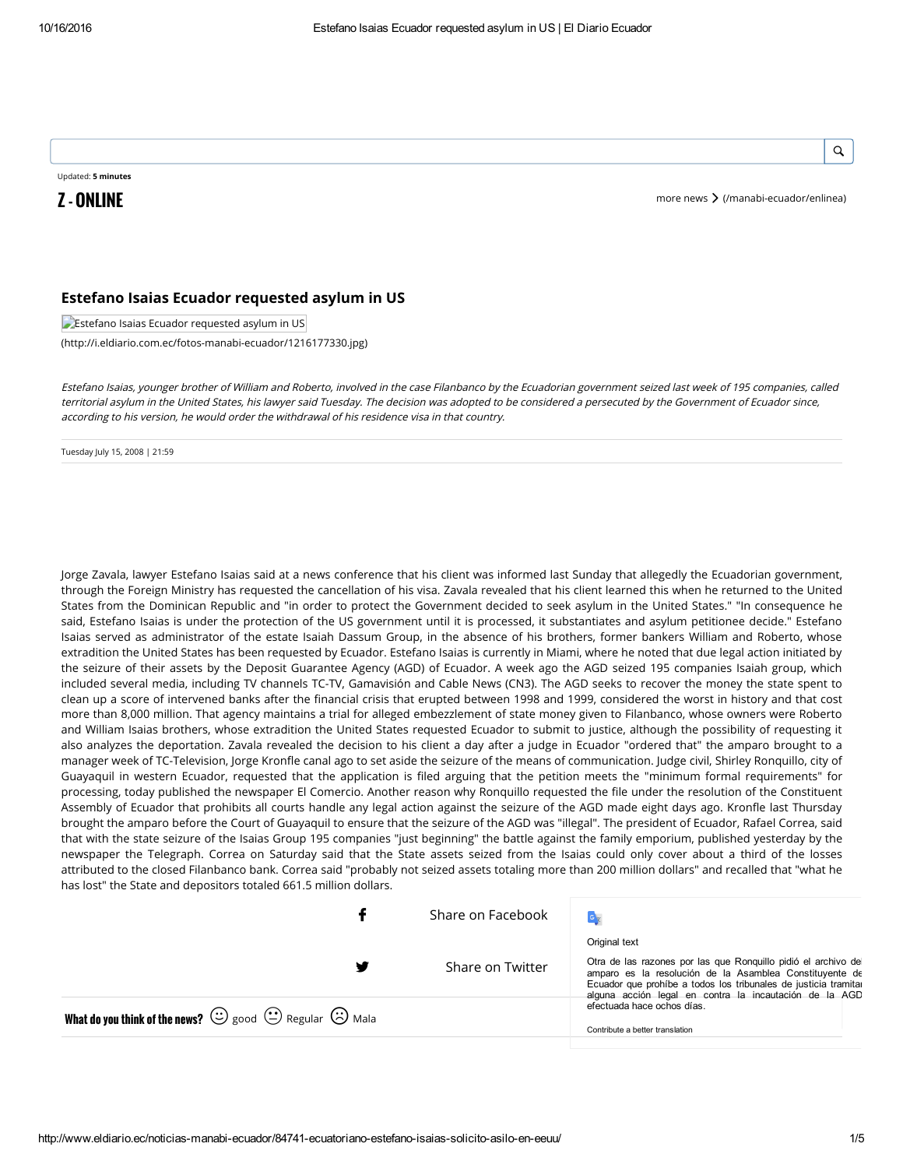### Q

Updated: 5 minutes

**Z - ONLINE** more news  $\geq$  [\(/manabi-ecuador/enlinea\)](http://www.eldiario.ec/manabi-ecuador/enlinea)

### Estefano Isaias Ecuador requested asylum in US

**Estefano Isaias Ecuador requested asylum in US** 

[\(http://i.eldiario.com.ec/fotos-manabi-ecuador/1216177330.jpg\)](http://i.eldiario.com.ec/fotos-manabi-ecuador/1216177330.jpg)

Estefano Isaias, younger brother of William and Roberto, involved in the case Filanbanco by the Ecuadorian government seized last week of 195 companies, called territorial asylum in the United States, his lawyer said Tuesday. The decision was adopted to be considered <sup>a</sup> persecuted by the Government of Ecuador since, according to his version, he would order the withdrawal of his residence visa in that country.

Tuesday July 15, 2008 | 21:59

Jorge Zavala, lawyer Estefano Isaias said at a news conference that his client was informed last Sunday that allegedly the Ecuadorian government, through the Foreign Ministry has requested the cancellation of his visa. Zavala revealed that his client learned this when he returned to the United States from the Dominican Republic and "in order to protect the Government decided to seek asylum in the United States." "In consequence he said, Estefano Isaias is under the protection of the US government until it is processed, it substantiates and asylum petitionee decide." Estefano Isaias served as administrator of the estate Isaiah Dassum Group, in the absence of his brothers, former bankers William and Roberto, whose extradition the United States has been requested by Ecuador. Estefano Isaias is currently in Miami, where he noted that due legal action initiated by the seizure of their assets by the Deposit Guarantee Agency (AGD) of Ecuador. A week ago the AGD seized 195 companies Isaiah group, which included several media, including TV channels TC-TV, Gamavisión and Cable News (CN3). The AGD seeks to recover the money the state spent to clean up a score of intervened banks after the financial crisis that erupted between 1998 and 1999, considered the worst in history and that cost more than 8,000 million. That agency maintains a trial for alleged embezzlement of state money given to Filanbanco, whose owners were Roberto and William Isaias brothers, whose extradition the United States requested Ecuador to submit to justice, although the possibility of requesting it also analyzes the deportation. Zavala revealed the decision to his client a day after a judge in Ecuador "ordered that" the amparo brought to a manager week of TC-Television, Jorge Kronfle canal ago to set aside the seizure of the means of communication. Judge civil, Shirley Ronquillo, city of Guayaquil in western Ecuador, requested that the application is filed arguing that the petition meets the "minimum formal requirements" for processing, today published the newspaper El Comercio. Another reason why Ronquillo requested the file under the resolution of the Constituent Assembly of Ecuador that prohibits all courts handle any legal action against the seizure of the AGD made eight days ago. Kronfle last Thursday brought the amparo before the Court of Guayaquil to ensure that the seizure of the AGD was "illegal". The president of Ecuador, Rafael Correa, said that with the state seizure of the Isaias Group 195 companies "just beginning" the battle against the family emporium, published yesterday by the newspaper the Telegraph. Correa on Saturday said that the State assets seized from the Isaias could only cover about a third of the losses attributed to the closed Filanbanco bank. Correa said "probably not seized assets totaling more than 200 million dollars" and recalled that "what he has lost" the State and depositors totaled 661.5 million dollars.

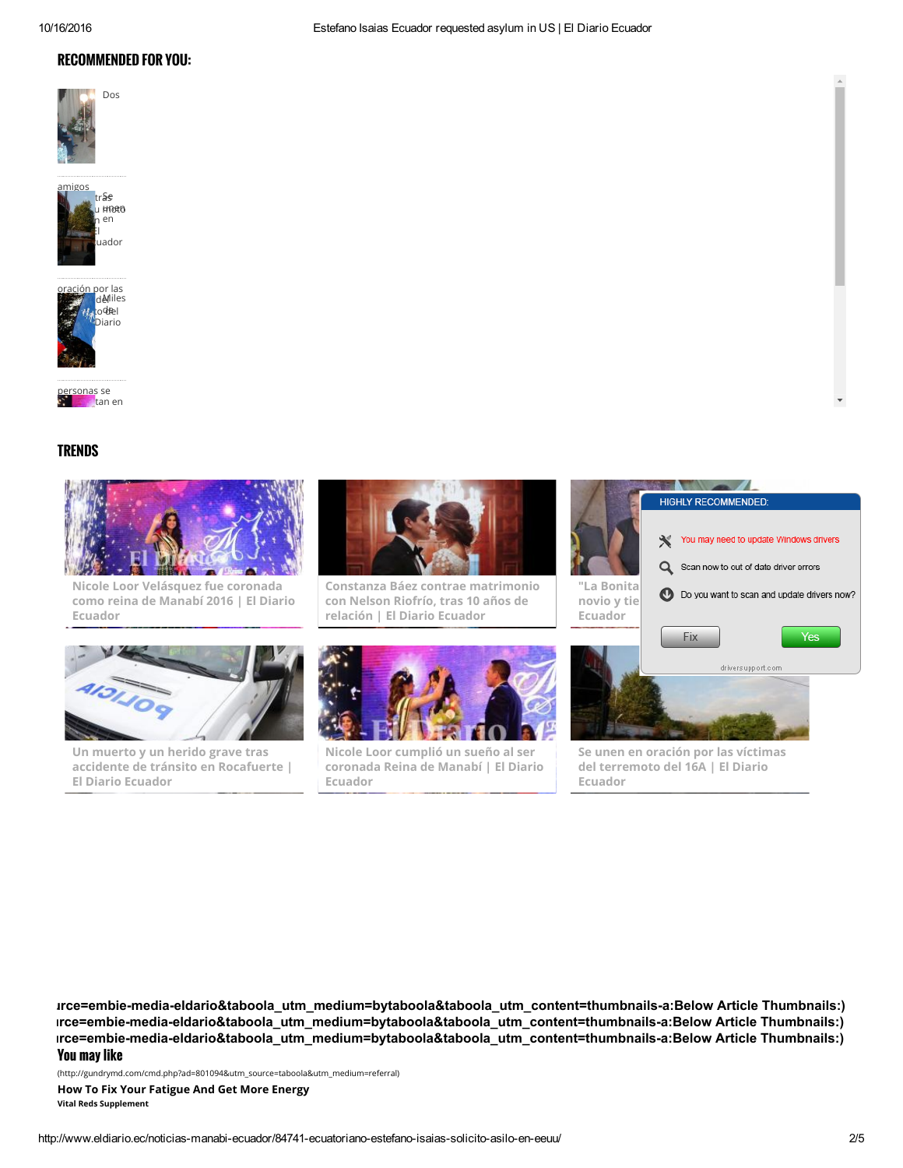### RECOMMENDED FOR YOU:

Dos







<mark>rsonas</mark> se  $\blacksquare$ tan en

### **TRENDS**



Nicole Loor [Velásquez](http://www.eldiario.ec/noticias-manabi-ecuador/409274-nicole-loor-velasquez-fue-coronada-como-reina-de-manabi-2016/) fue coronada como reina de Manabí 2016 | El Diario Ecuador



Constanza Báez contrae [matrimonio](http://www.eldiario.ec/noticias-manabi-ecuador/409340-constanza-baez-contrae-matrimonio-con-nelson-riofrio-tras-10-anos-de-relacion/) con Nelson Riofrío, tras 10 años de relación | El Diario Ecuador



**Experience HIGHLY RECOMMENDED:** 

Un muerto y un herido grave tras accidente de tránsito en [Rocafuerte](http://www.eldiario.ec/noticias-manabi-ecuador/409344-un-muerto-y-un-herido-grave-tras-accidente-de-transito-en-rocafuerte/) | El Diario Ecuador



Se unen en oración por las víctimas del [terremoto](http://www.eldiario.ec/noticias-manabi-ecuador/409353-se-unen-en-oracion-por-las-victimas-del-terremoto-del-16a/) del 16A | El Diario Ecuador

You may like irce=embie-media-eldario&taboola\_utm\_medium=bytaboola&taboola\_utm\_content=thumbnails-a:Below Article Thumbnails:)  $rce$ =embie-media-eldario&taboola\_utm\_medium=bytaboola&taboola\_utm\_content=thumbnails-a:Below Article Thumbnails:) rce=embie-media-eldario&taboola\_utm\_medium=bytaboola&taboola\_utm\_content=thumbnails-a:Below Article Thumbnails:)

[\(http://gundrymd.com/cmd.php?ad=801094&utm\\_source=taboola&utm\\_medium=referral\)](http://gundrymd.com/cmd.php?ad=801094&utm_source=taboola&utm_medium=referral)

How To Fix Your [Fatigue](http://gundrymd.com/cmd.php?ad=801094&utm_source=taboola&utm_medium=referral) And Get More Energy

Vital Reds Supplement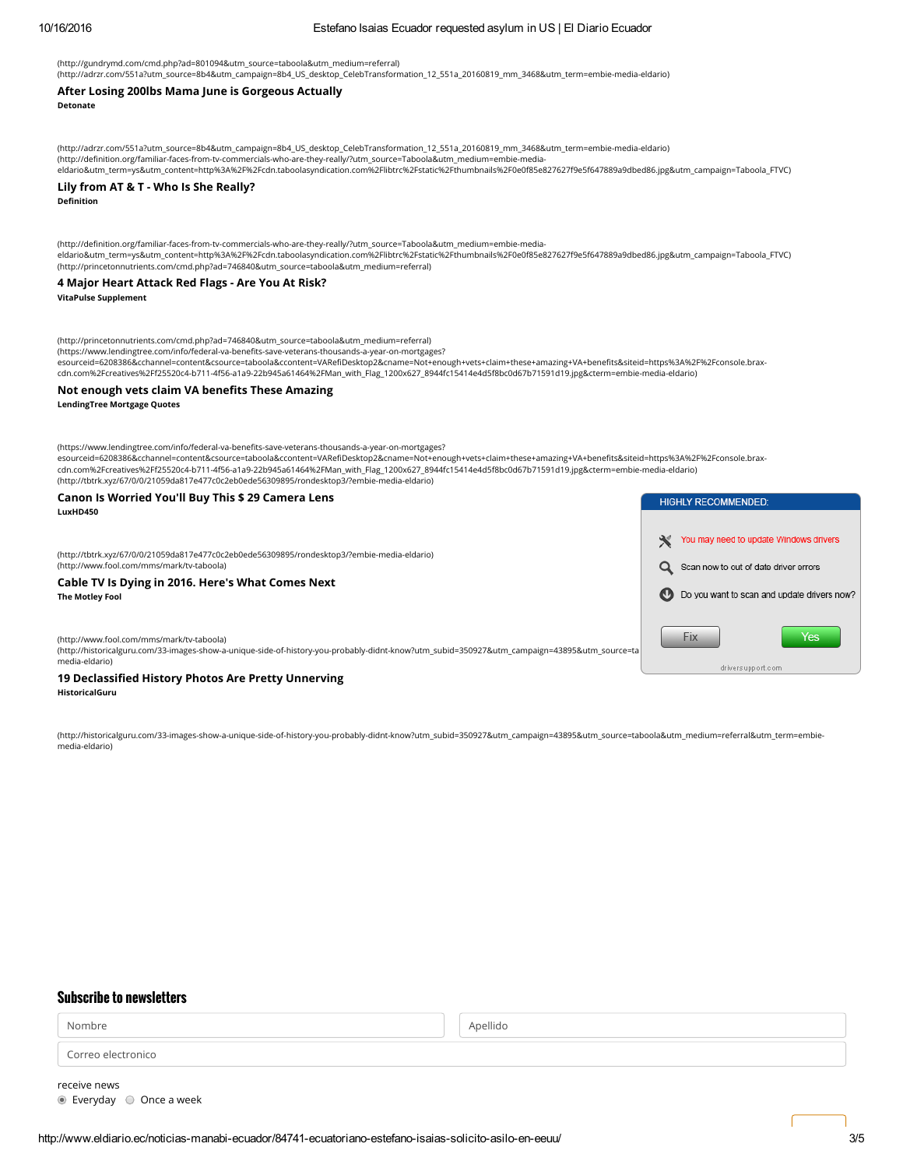Detonate

VitaPulse Supplement

LendingTree Mortgage Quotes

[\(http://www.fool.com/mms/mark/tv-taboola\)](http://www.fool.com/mms/mark/tv-taboola)

[\(http://www.fool.com/mms/mark/tv-taboola\)](http://www.fool.com/mms/mark/tv-taboola)

LuxHD450

The Motley Fool

media-eldario)

HistoricalGuru

media-eldario)

# [\(http://gundrymd.com/cmd.php?ad=801094&utm\\_source=taboola&utm\\_medium=referral\)](http://gundrymd.com/cmd.php?ad=801094&utm_source=taboola&utm_medium=referral)

### After Losing 200lbs Mama June is Gorgeous Actually

[\(http://adrzr.com/551a?utm\\_source=8b4&utm\\_campaign=8b4\\_US\\_desktop\\_CelebTransformation\\_12\\_551a\\_20160819\\_mm\\_3468&utm\\_term=embie-media-eldario\)](http://adrzr.com/551a?utm_source=8b4&utm_campaign=8b4_US_desktop_CelebTransformation_12_551a_20160819_mm_3468&utm_term=embie-media-eldario)

(http://definition.org/familiar-faces-from-tv-commercials-who-are-they-really/?utm\_source=Taboola&utm\_medium=embie-media-

Definition Lily from AT & T - Who Is She Really?

[\(http://princetonnutrients.com/cmd.php?ad=746840&utm\\_source=taboola&utm\\_medium=referral\)](http://princetonnutrients.com/cmd.php?ad=746840&utm_source=taboola&utm_medium=referral)

[\(http://princetonnutrients.com/cmd.php?ad=746840&utm\\_source=taboola&utm\\_medium=referral\)](http://princetonnutrients.com/cmd.php?ad=746840&utm_source=taboola&utm_medium=referral) (https://www.lendingtree.com/info/federal-va-benefits-save-veterans-thousands-a-year-on-mortgages?

(https://www.lendingtree.com/info/federal-va-benefits-save-veterans-thousands-a-year-on-mortgages?

[\(http://tbtrk.xyz/67/0/0/21059da817e477c0c2eb0ede56309895/rondesktop3/?embie-media-eldario\)](http://tbtrk.xyz/67/0/0/21059da817e477c0c2eb0ede56309895/rondesktop3/?embie-media-eldario)

[\(http://tbtrk.xyz/67/0/0/21059da817e477c0c2eb0ede56309895/rondesktop3/?embie-media-eldario\)](http://tbtrk.xyz/67/0/0/21059da817e477c0c2eb0ede56309895/rondesktop3/?embie-media-eldario)

Cable TV Is Dying in 2016. Here's What Comes Next

Canon Is Worried You'll Buy This \$ 29 Camera Lens

19 Declassified History Photos Are Pretty Unnerving

[eldario&utm\\_term=ys&utm\\_content=http%3A%2F%2Fcdn.taboolasyndication.com%2Flibtrc%2Fstatic%2Fthumbnails%2F0e0f85e827627f9e5f647889a9dbed86.jpg&utm\\_campaign=Taboola\\_FTVC\)](http://definition.org/familiar-faces-from-tv-commercials-who-are-they-really/?utm_source=Taboola&utm_medium=embie-media-eldario&utm_term=ys&utm_content=http%3A%2F%2Fcdn.taboolasyndication.com%2Flibtrc%2Fstatic%2Fthumbnails%2F0e0f85e827627f9e5f647889a9dbed86.jpg&utm_campaign=Taboola_FTVC)

[eldario&utm\\_term=ys&utm\\_content=http%3A%2F%2Fcdn.taboolasyndication.com%2Flibtrc%2Fstatic%2Fthumbnails%2F0e0f85e827627f9e5f647889a9dbed86.jpg&utm\\_campaign=Taboola\\_FTVC\)](http://definition.org/familiar-faces-from-tv-commercials-who-are-they-really/?utm_source=Taboola&utm_medium=embie-media-eldario&utm_term=ys&utm_content=http%3A%2F%2Fcdn.taboolasyndication.com%2Flibtrc%2Fstatic%2Fthumbnails%2F0e0f85e827627f9e5f647889a9dbed86.jpg&utm_campaign=Taboola_FTVC)

.<br>esourceid=6208386&cchannel=content&csource=taboola&ccontent=VARefiDesktop2&cname=Not+enough+vets+claim+these+amazing+VA+benefits&siteid=https%3A%2F%2Fconsole.brax-

esourceid=6208386&cchannel=content&csource=taboola&ccontent=VARefiDesktop2&cname=Not+enough+vets+claim+these+amazing+VA+benefits&siteid=https%3A%2F%2Fconsole.brax-

[\(http://historicalguru.com/33-images-show-a-unique-side-of-history-you-probably-didnt-know?utm\\_subid=350927&utm\\_campaign=43895&utm\\_source=taboola&utm\\_medium=referral&utm\\_term=embie-](http://historicalguru.com/33-images-show-a-unique-side-of-history-you-probably-didnt-know?utm_subid=350927&utm_campaign=43895&utm_source=taboola&utm_medium=referral&utm_term=embie-media-eldario)

cdn.com%2Fcreatives%2Ff25520c4-b711-4f56-a1a9-22b945a61464%2FMan\_with\_Flag\_1200x627\_8944fc15414e4d5f8bc0d67b71591d19.jpg&cterm=embie-media-eldario)

cdn.com%2Fcreatives%2Ff25520c4-b711-4f56-a1a9-22b945a61464%2FMan\_with\_Flag\_1200x627\_8944fc15414e4d5f8bc0d67b71591d19.jpg&cterm=embie-media-eldario)

[\(http://adrzr.com/551a?utm\\_source=8b4&utm\\_campaign=8b4\\_US\\_desktop\\_CelebTransformation\\_12\\_551a\\_20160819\\_mm\\_3468&utm\\_term=embie-media-eldario\)](http://adrzr.com/551a?utm_source=8b4&utm_campaign=8b4_US_desktop_CelebTransformation_12_551a_20160819_mm_3468&utm_term=embie-media-eldario) (http://definition.org/familiar-faces-from-tv-commercials-who-are-they-really/?utm\_source=Taboola&utm\_medium=embie-media-

4 Major Heart Attack Red Flags - Are You At Risk?

Not enough vets claim VA benefits These Amazing

Nombre de la componentación de la componentación de la componentación de la componentación de la componentació

Correo electronico

Subscribe to newsletters

receive news Everyday Once a week

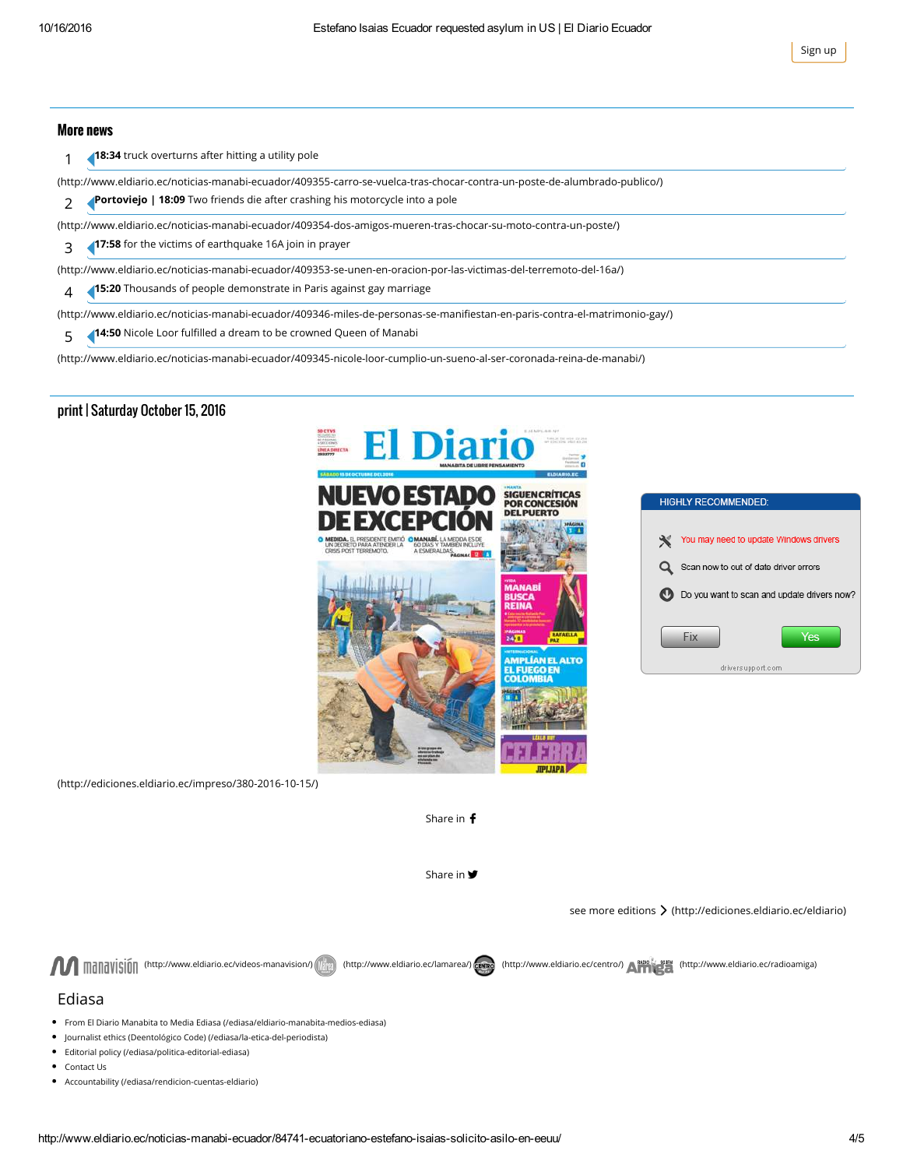Sign up

### More news

1 18:34 truck overturns after hitting a utility pole

[\(http://www.eldiario.ec/noticias-manabi-ecuador/409355-carro-se-vuelca-tras-chocar-contra-un-poste-de-alumbrado-publico/\)](http://www.eldiario.ec/noticias-manabi-ecuador/409355-carro-se-vuelca-tras-chocar-contra-un-poste-de-alumbrado-publico/)

2 Portoviejo | 18:09 Two friends die after crashing his motorcycle into a pole

[\(http://www.eldiario.ec/noticias-manabi-ecuador/409354-dos-amigos-mueren-tras-chocar-su-moto-contra-un-poste/\)](http://www.eldiario.ec/noticias-manabi-ecuador/409354-dos-amigos-mueren-tras-chocar-su-moto-contra-un-poste/)

3 17:58 for the victims of earthquake 16A join in prayer

[\(http://www.eldiario.ec/noticias-manabi-ecuador/409353-se-unen-en-oracion-por-las-victimas-del-terremoto-del-16a/\)](http://www.eldiario.ec/noticias-manabi-ecuador/409353-se-unen-en-oracion-por-las-victimas-del-terremoto-del-16a/) 4 15:20 Thousands of people demonstrate in Paris against gay marriage

(http://www.eldiario.ec/noticias-manabi-ecuador/409346-miles-de-personas-se-manifiestan-en-paris-contra-el-matrimonio-gay/)

5 14:50 Nicole Loor fulfilled a dream to be crowned Queen of Manabi

[\(http://www.eldiario.ec/noticias-manabi-ecuador/409345-nicole-loor-cumplio-un-sueno-al-ser-coronada-reina-de-manabi/\)](http://www.eldiario.ec/noticias-manabi-ecuador/409345-nicole-loor-cumplio-un-sueno-al-ser-coronada-reina-de-manabi/)

### print | Saturday October 15, 2016



| <b>HIGHLY RECOMMENDED:</b>                  |
|---------------------------------------------|
|                                             |
| You may need to update Windows drivers<br>₩ |
| Q<br>Scan now to out of date driver errors  |
| Do you want to scan and update drivers now? |
|                                             |
| Fix<br>Yes                                  |
| deliveration and a com-                     |

[\(http://ediciones.eldiario.ec/impreso/380-2016-10-15/\)](http://ediciones.eldiario.ec/impreso/380-2016-10-15/)

Share in f

Share in **9** 

see more editions > [\(http://ediciones.eldiario.ec/eldiario\)](http://ediciones.eldiario.ec/eldiario)

**AR** manavisión [\(http://www.eldiario.ec/videos-manavision/\)](http://www.eldiario.ec/videos-manavision/) [\(http://www.eldiario.ec/lamarea/\)](http://www.eldiario.ec/lamarea/) cango [\(http://www.eldiario.ec/centro/\)](http://www.eldiario.ec/centro/) A<sup>shool</sup> 354 [\(http://www.eldiario.ec/radioamiga\)](http://www.eldiario.ec/radioamiga)

### Ediasa

- From El Diario Manabita to Media Ediasa [\(/ediasa/eldiario-manabita-medios-ediasa\)](http://www.eldiario.ec/ediasa/eldiario-manabita-medios-ediasa)
- Journalist ethics (Deentológico Code) [\(/ediasa/la-etica-del-periodista\)](http://www.eldiario.ec/ediasa/la-etica-del-periodista)
- Editorial policy [\(/ediasa/politica-editorial-ediasa\)](http://www.eldiario.ec/ediasa/politica-editorial-ediasa)
- Contact Us
- Accountability [\(/ediasa/rendicion-cuentas-eldiario\)](http://www.eldiario.ec/ediasa/rendicion-cuentas-eldiario)